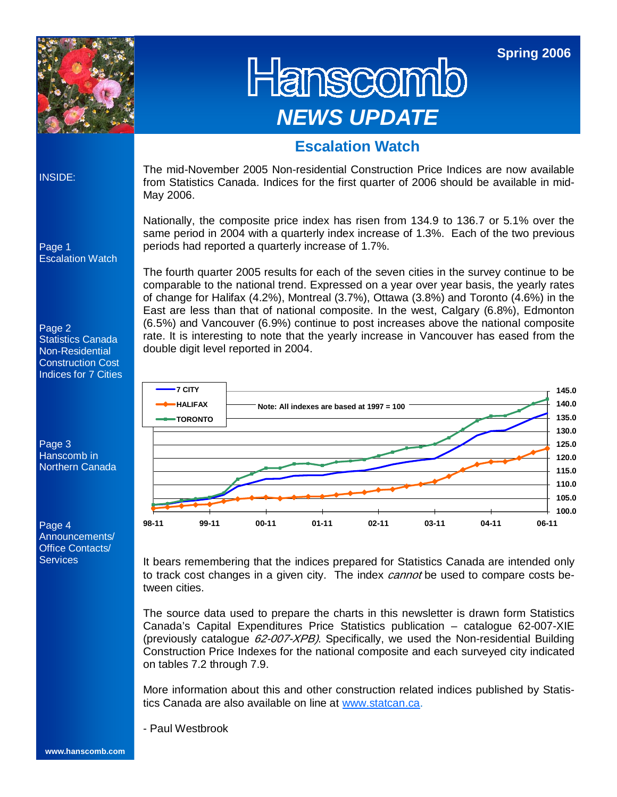

Hanscomb *NEWS UPDATE* 

**Spring 2006** 

### **Escalation Watch**

INSIDE:

The mid-November 2005 Non-residential Construction Price Indices are now available from Statistics Canada. Indices for the first quarter of 2006 should be available in mid-May 2006.

Nationally, the composite price index has risen from 134.9 to 136.7 or 5.1% over the same period in 2004 with a quarterly index increase of 1.3%. Each of the two previous periods had reported a quarterly increase of 1.7%.

The fourth quarter 2005 results for each of the seven cities in the survey continue to be comparable to the national trend. Expressed on a year over year basis, the yearly rates of change for Halifax (4.2%), Montreal (3.7%), Ottawa (3.8%) and Toronto (4.6%) in the East are less than that of national composite. In the west, Calgary (6.8%), Edmonton (6.5%) and Vancouver (6.9%) continue to post increases above the national composite rate. It is interesting to note that the yearly increase in Vancouver has eased from the double digit level reported in 2004.



It bears remembering that the indices prepared for Statistics Canada are intended only to track cost changes in a given city. The index *cannot* be used to compare costs between cities.

The source data used to prepare the charts in this newsletter is drawn form Statistics Canada's Capital Expenditures Price Statistics publication – catalogue 62-007-XIE (previously catalogue  $62-007-XPB$ ). Specifically, we used the Non-residential Building Construction Price Indexes for the national composite and each surveyed city indicated on tables 7.2 through 7.9.

More information about this and other construction related indices published by Statistics Canada are also available on line at www.statcan.ca.

- Paul Westbrook

Page 2 Statistics Canada Non-Residential Construction Cost Indices for 7 Cities



Page 4 Announcements/ Office Contacts/ **Services**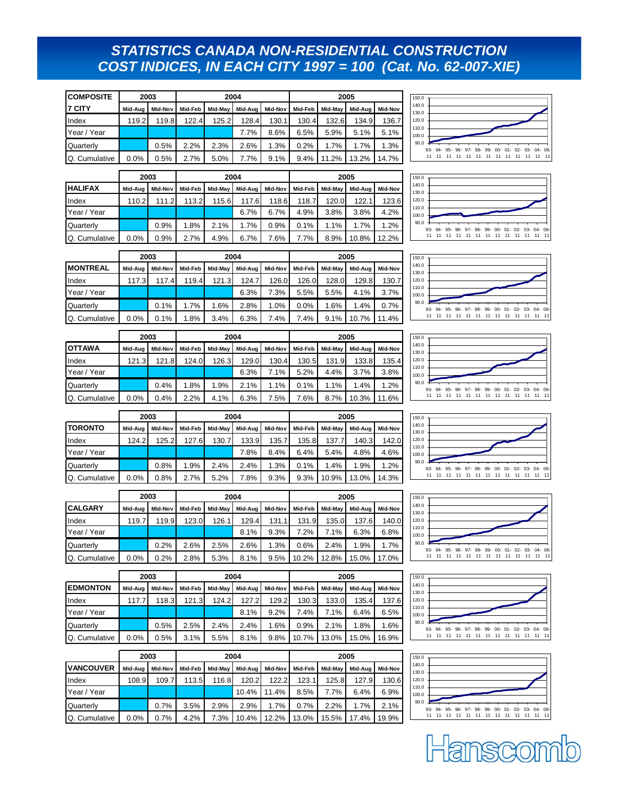### *STATISTICS CANADA NON-RESIDENTIAL CONSTRUCTION COST INDICES, IN EACH CITY 1997 = 100 (Cat. No. 62-007-XIE)*

| <b>COMPOSITE</b>           |         | 2003    |         |         | 2004    |         | 2005    |         |         |         |  |
|----------------------------|---------|---------|---------|---------|---------|---------|---------|---------|---------|---------|--|
| <b>I</b> <sub>7</sub> CITY | Mid-Aug | Mid-Nov | Mid-Feb | Mid-May | Mid-Aua | Mid-Nov | Mid-Feb | Mid-May | Mid-Aug | Mid-Nov |  |
| Index                      | 119.2   | 119.8   | 122.4   | 125.2   | 128.4   | 130.1   | 130.4   | 132.6   | 134.9   | 136.7   |  |
| Year / Year                |         |         |         |         | 7.7%    | 8.6%    | 6.5%    | 5.9%    | 5.1%    | 5.1%    |  |
| <b>Quarterly</b>           |         | 0.5%    | 2.2%    | 2.3%    | 2.6%    | 1.3%    | 0.2%    | 1.7%    | 1.7%    | 1.3%    |  |
| <b>IQ.</b> Cumulative      | 0.0%    | 0.5%    | 2.7%    | 5.0%    | 7.7%    | 9.1%    | 9.4%    | 11.2%   | 13.2%   | 14.7%   |  |

|                  |         | 2003<br>2004 |         |         |         |         |         | 2005    |         |         |  |  |
|------------------|---------|--------------|---------|---------|---------|---------|---------|---------|---------|---------|--|--|
| <b>IHALIFAX</b>  | Mid-Aua | Mid-Nov      | Mid-Feb | Mid-May | Mid-Aug | Mid-Nov | Mid-Feb | Mid-May | Mid-Aua | Mid-Nov |  |  |
| Index            | 110.2   | 111.2        | 113.2   | 115.6   | 117.6   | 118.6   | 118.7   | 120.0   | 122.    | 123.6   |  |  |
| Year / Year      |         |              |         |         | 6.7%    | 6.7%    | 4.9%    | 3.8%    | 3.8%    | 4.2%    |  |  |
| <b>Quarterly</b> |         | 0.9%         | 1.8%    | 2.1%    | 1.7%    | 0.9%    | 0.1%    | 1.1%    | 1.7%    | 1.2%    |  |  |
| Q. Cumulative    | 0.0%    | 0.9%         | 2.7%    | 4.9%    | 6.7%    | 7.6%    | 7.7%    | 8.9%    | 10.8%   | 12.2%   |  |  |

















| 2.1%  | 90.0 |       |  | 93- 94- 95- 96- 97- 98- 99- 00- 01- 02- 03- 04- 06- |  |  |  |  |
|-------|------|-------|--|-----------------------------------------------------|--|--|--|--|
| 19.9% |      | 11 11 |  | 11 11 11 11 11 11 11 11 11 11 11 11                 |  |  |  |  |
|       |      |       |  |                                                     |  |  |  |  |
|       |      |       |  |                                                     |  |  |  |  |
|       |      |       |  |                                                     |  |  |  |  |
|       |      |       |  |                                                     |  |  |  |  |

|                 |         | 2003    |         |         | 2004    |         | 2005    |         |         |         |  |
|-----------------|---------|---------|---------|---------|---------|---------|---------|---------|---------|---------|--|
| <b>MONTREAL</b> | Mid-Aug | Mid-Nov | Mid-Feb | Mid-May | Mid-Aug | Mid-Nov | Mid-Feb | Mid-Mav | Mid-Aug | Mid-Nov |  |
| Index           | 117.3   | 117.4   | 119.4   | 121.3   | 124.7   | 126.0   | 126.0   | 128.0   | 129.8   | 130.7   |  |
| Year / Year     |         |         |         |         | 6.3%    | 7.3%    | 5.5%    | 5.5%    | 4.1%    | 3.7%    |  |
| Quarterly       |         | 0.1%    | 1.7%    | 1.6%    | 2.8%    | 1.0%    | 0.0%    | 1.6%    | 1.4%    | 0.7%    |  |
| Q. Cumulative   | 0.0%    | 0.1%    | 1.8%    | 3.4%    | 6.3%    | 7.4%    | 7.4%    | 9.1%    | 10.7%   | 11.4%   |  |

|                |         | 2003<br>2004 |         |         |         |         | 2005    |         |         |         |  |
|----------------|---------|--------------|---------|---------|---------|---------|---------|---------|---------|---------|--|
| <b>IOTTAWA</b> | Mid-Aug | Mid-Nov      | Mid-Feb | Mid-May | Mid-Aua | Mid-Nov | Mid-Feb | Mid-May | Mid-Aua | Mid-Nov |  |
| Index          | 121.3   | 121.8        | 124.0   | 126.3   | 129.0   | 130.4   | 130.5   | 131.9   | 133.8   | 135.4   |  |
| Year / Year    |         |              |         |         | 6.3%    | 7.1%    | 5.2%    | 4.4%    | 3.7%    | 3.8%    |  |
| Quarterly      |         | 0.4%         | 1.8%    | 1.9%    | 2.1%    | 1.1%    | 0.1%    | 1.1%    | 1.4%    | 1.2%    |  |
| Q. Cumulative  | 0.0%    | 0.4%         | 2.2%    | 4.1%    | 6.3%    | 7.5%    | 7.6%    | 8.7%    | 10.3%   | 11.6%   |  |

|                  |         | 2003    |         |         | 2004    |         | 2005    |         |         |         |  |
|------------------|---------|---------|---------|---------|---------|---------|---------|---------|---------|---------|--|
| <b>I</b> TORONTO | Mid-Aug | Mid-Nov | Mid-Feb | Mid-May | Mid-Aug | Mid-Nov | Mid-Feb | Mid-Mav | Mid-Aua | Mid-Nov |  |
| Index            | 124.2   | 125.2   | 127.6   | 130.7   | 133.9   | 135.7   | 135.8   | 137.7   | 140.3   | 142.0   |  |
| Year / Year      |         |         |         |         | 7.8%    | 8.4%    | 6.4%    | 5.4%    | 4.8%    | 4.6%    |  |
| Quarterly        |         | 0.8%    | 1.9%    | 2.4%    | 2.4%    | 1.3%    | 0.1%    | 1.4%    | 1.9%    | 1.2%    |  |
| Q. Cumulative    | 0.0%    | 0.8%    | 2.7%    | 5.2%    | 7.8%    | 9.3%    | 9.3%    | 10.9%   | 13.0%   | 14.3%   |  |

|                  |         | 2003    |         |         | 2004    |         | 2005    |         |         |         |  |
|------------------|---------|---------|---------|---------|---------|---------|---------|---------|---------|---------|--|
| <b>ICALGARY</b>  | Mid-Aug | Mid-Nov | Mid-Feb | Mid-May | Mid-Aug | Mid-Nov | Mid-Feb | Mid-Mav | Mid-Aug | Mid-Nov |  |
| Index            | 119.7   | 119.9   | 123.0   | 126.1   | 129.4   | 131.1   | 131.9   | 135.0   | 137.6   | 140.0   |  |
| Year / Year      |         |         |         |         | 8.1%    | 9.3%    | 7.2%    | 7.1%    | 6.3%    | 6.8%    |  |
| <b>Quarterly</b> |         | 0.2%    | 2.6%    | 2.5%    | 2.6%    | 1.3%    | 0.6%    | 2.4%    | 1.9%    | 1.7%    |  |
| O. Cumulative    | 0.0%    | 0.2%    | 2.8%    | 5.3%    | 8.1%    | 9.5%    | 10.2%   | 12.8%   | 15.0%   | 17.0%   |  |

|                  | 2004<br>2003 |         |         |         |         |         | 2005    |         |         |         |  |
|------------------|--------------|---------|---------|---------|---------|---------|---------|---------|---------|---------|--|
| <b>IEDMONTON</b> | Mid-Aug      | Mid-Nov | Mid-Feb | Mid-May | Mid-Aug | Mid-Nov | Mid-Feb | Mid-May | Mid-Aug | Mid-Nov |  |
| Index            | 117.7        | 118.3   | 121.3   | 124.2   | 127.2   | 129.2   | 130.3   | 133.0   | 135.4   | 137.6   |  |
| Year / Year      |              |         |         |         | 8.1%    | 9.2%    | 7.4%    | 7.1%    | 6.4%    | 6.5%    |  |
| Quarterly        |              | 0.5%    | 2.5%    | 2.4%    | 2.4%    | 1.6%    | 0.9%    | 2.1%    | 1.8%    | 1.6%    |  |
| Q. Cumulative    | $0.0\%$      | 0.5%    | 3.1%    | 5.5%    | 8.1%    | 9.8%    | 10.7%   | 13.0%   | 15.0%   | 16.9%   |  |

|                  | 2003    |         | 2004    |         |         |         | 2005    |         |         |         |  |
|------------------|---------|---------|---------|---------|---------|---------|---------|---------|---------|---------|--|
| <b>VANCOUVER</b> | Mid-Aug | Mid-Nov | Mid-Feb | Mid-May | Mid-Aug | Mid-Nov | Mid-Feb | Mid-Mav | Mid-Aua | Mid-Nov |  |
| Index            | 108.9   | 109.7   | 113.5   | 116.8   | 120.2   | 122.2   | 123.1   | 125.8   | 127.9   | 130.6   |  |
| Year / Year      |         |         |         |         | 10.4%   | 11.4%   | 8.5%    | 7.7%    | 6.4%    | 6.9%    |  |
| Quarterly        |         | 0.7%    | 3.5%    | 2.9%    | 2.9%    | 1.7%    | 0.7%    | 2.2%    | 1.7%    | 2.1%    |  |
| Q. Cumulative    | 0.0%    | 0.7%    | 4.2%    | 7.3%    | 10.4%   | 12.2%   | 13.0%   | 15.5%   | 17.4%   | 19.9%   |  |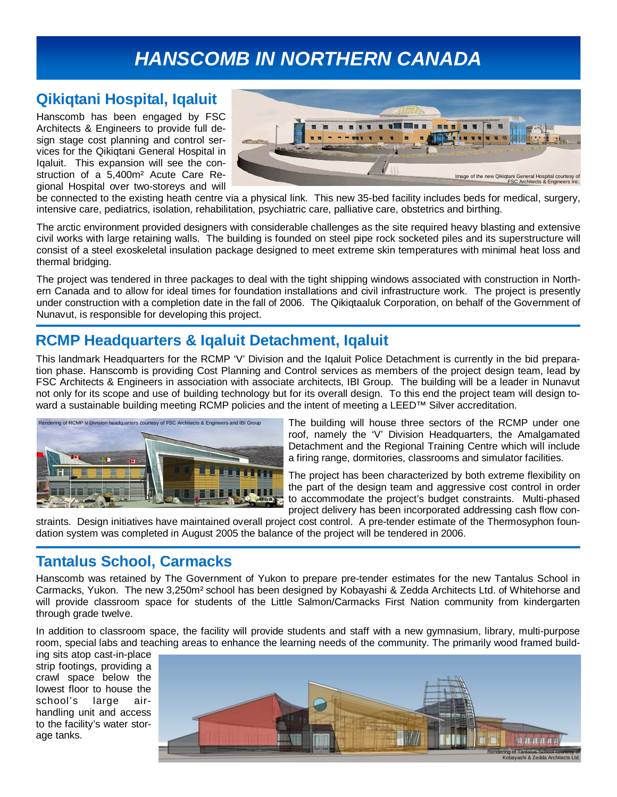# *HANSCOMB IN NORTHERN CANADA*

## **Qikiqtani Hospital, Iqaluit**

Hanscomb has been engaged by FSC Architects & Engineers to provide full design stage cost planning and control services for the Qikiqtani General Hospital in Iqaluit. This expansion will see the construction of a 5,400m² Acute Care Regional Hospital over two-storeys and will



be connected to the existing heath centre via a physical link. This new 35-bed facility includes beds for medical, surgery, intensive care, pediatrics, isolation, rehabilitation, psychiatric care, palliative care, obstetrics and birthing.

The arctic environment provided designers with considerable challenges as the site required heavy blasting and extensive civil works with large retaining walls. The building is founded on steel pipe rock socketed piles and its superstructure will consist of a steel exoskeletal insulation package designed to meet extreme skin temperatures with minimal heat loss and thermal bridging.

The project was tendered in three packages to deal with the tight shipping windows associated with construction in Northern Canada and to allow for ideal times for foundation installations and civil infrastructure work. The project is presently under construction with a completion date in the fall of 2006. The Qikiqtaaluk Corporation, on behalf of the Government of Nunavut, is responsible for developing this project.

### **RCMP Headquarters & Iqaluit Detachment, Iqaluit**

This landmark Headquarters for the RCMP 'V' Division and the Iqaluit Police Detachment is currently in the bid preparation phase. Hanscomb is providing Cost Planning and Control services as members of the project design team, lead by FSC Architects & Engineers in association with associate architects, IBI Group. The building will be a leader in Nunavut not only for its scope and use of building technology but for its overall design. To this end the project team will design toward a sustainable building meeting RCMP policies and the intent of meeting a LEED™ Silver accreditation.



The building will house three sectors of the RCMP under one roof, namely the 'V' Division Headquarters, the Amalgamated Detachment and the Regional Training Centre which will include a firing range, dormitories, classrooms and simulator facilities.

The project has been characterized by both extreme flexibility on the part of the design team and aggressive cost control in order to accommodate the project's budget constraints. Multi-phased project delivery has been incorporated addressing cash flow con-

straints. Design initiatives have maintained overall project cost control. A pre-tender estimate of the Thermosyphon foundation system was completed in August 2005 the balance of the project will be tendered in 2006.

## **Tantalus School, Carmacks**

Hanscomb was retained by The Government of Yukon to prepare pre-tender estimates for the new Tantalus School in Carmacks, Yukon. The new 3,250m² school has been designed by Kobayashi & Zedda Architects Ltd. of Whitehorse and will provide classroom space for students of the Little Salmon/Carmacks First Nation community from kindergarten through grade twelve.

In addition to classroom space, the facility will provide students and staff with a new gymnasium, library, multi-purpose room, special labs and teaching areas to enhance the learning needs of the community. The primarily wood framed build-

ing sits atop cast-in-place strip footings, providing a crawl space below the lowest floor to house the school's large airhandling unit and access to the facility's water storage tanks.